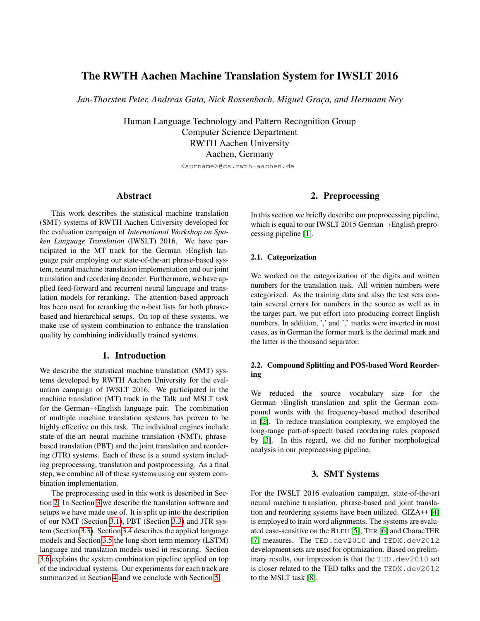# The RWTH Aachen Machine Translation System for IWSLT 2016

Jan-Thorsten Peter, Andreas Guta, Nick Rossenbach, Miguel Graça, and Hermann Ney

Human Language Technology and Pattern Recognition Group Computer Science Department RWTH Aachen University Aachen, Germany

<surname>@cs.rwth-aachen.de

# Abstract

This work describes the statistical machine translation (SMT) systems of RWTH Aachen University developed for the evaluation campaign of *International Workshop on Spoken Language Translation* (IWSLT) 2016. We have participated in the MT track for the German→English language pair employing our state-of-the-art phrase-based system, neural machine translation implementation and our joint translation and reordering decoder. Furthermore, we have applied feed-forward and recurrent neural language and translation models for reranking. The attention-based approach has been used for reranking the *n*-best lists for both phrasebased and hierarchical setups. On top of these systems, we make use of system combination to enhance the translation quality by combining individually trained systems.

# 1. Introduction

We describe the statistical machine translation (SMT) systems developed by RWTH Aachen University for the evaluation campaign of IWSLT 2016. We participated in the machine translation (MT) track in the Talk and MSLT task for the German→English language pair. The combination of multiple machine translation systems has proven to be highly effective on this task. The individual engines include state-of-the-art neural machine translation (NMT), phrasebased translation (PBT) and the joint translation and reordering (JTR) systems. Each of these is a sound system including preprocessing, translation and postprocessing. As a final step, we combine all of these systems using our system combination implementation.

The preprocessing used in this work is described in Section [2.](#page-0-0) In Section [3](#page-0-1) we describe the translation software and setups we have made use of. It is split up into the description of our NMT (Section [3.1\)](#page-1-0), PBT (Section [3.3\)](#page-1-1) and JTR system (Section [3.3\)](#page-1-1). Section [3.4](#page-2-0) describes the applied language models and Section [3.5](#page-2-1) the long short term memory (LSTM) language and translation models used in rescoring. Section [3.6](#page-3-0) explains the system combination pipeline applied on top of the individual systems. Our experiments for each track are summarized in Section [4](#page-3-1) and we conclude with Section [5.](#page-4-0)

# 2. Preprocessing

<span id="page-0-0"></span>In this section we briefly describe our preprocessing pipeline, which is equal to our IWSLT 2015 German→English preprocessing pipeline [\[1\]](#page-4-1).

### 2.1. Categorization

We worked on the categorization of the digits and written numbers for the translation task. All written numbers were categorized. As the training data and also the test sets contain several errors for numbers in the source as well as in the target part, we put effort into producing correct English numbers. In addition, ',' and '.' marks were inverted in most cases, as in German the former mark is the decimal mark and the latter is the thousand separator.

# 2.2. Compound Splitting and POS-based Word Reordering

We reduced the source vocabulary size for the German→English translation and split the German compound words with the frequency-based method described in [\[2\]](#page-4-2). To reduce translation complexity, we employed the long-range part-of-speech based reordering rules proposed by [\[3\]](#page-4-3). In this regard, we did no further morphological analysis in our preprocessing pipeline.

# 3. SMT Systems

<span id="page-0-1"></span>For the IWSLT 2016 evaluation campaign, state-of-the-art neural machine translation, phrase-based and joint translation and reordering systems have been utilized. GIZA++ [\[4\]](#page-4-4) is employed to train word alignments. The systems are evaluated case-sensitive on the BLEU [\[5\]](#page-4-5), TER [\[6\]](#page-4-6) and CharacTER [\[7\]](#page-4-7) measures. The TED.dev2010 and TEDX.dev2012 development sets are used for optimization. Based on preliminary results, our impression is that the  $TED$ .  $dev2010$  set is closer related to the TED talks and the TEDX.dev2012 to the MSLT task [\[8\]](#page-4-8).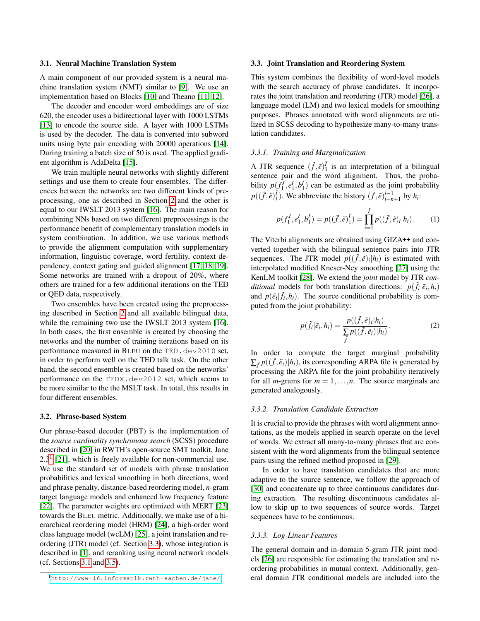### <span id="page-1-0"></span>3.1. Neural Machine Translation System

A main component of our provided system is a neural machine translation system (NMT) similar to [\[9\]](#page-4-9). We use an implementation based on Blocks [\[10\]](#page-4-10) and Theano [\[11,](#page-4-11) [12\]](#page-4-12).

The decoder and encoder word embeddings are of size 620, the encoder uses a bidirectional layer with 1000 LSTMs [\[13\]](#page-5-0) to encode the source side. A layer with 1000 LSTMs is used by the decoder. The data is converted into subword units using byte pair encoding with 20000 operations [\[14\]](#page-5-1). During training a batch size of 50 is used. The applied gradient algorithm is AdaDelta [\[15\]](#page-5-2).

We train multiple neural networks with slightly different settings and use them to create four ensembles. The differences between the networks are two different kinds of preprocessing, one as described in Section [2](#page-0-0) and the other is equal to our IWSLT 2013 system [\[16\]](#page-5-3). The main reason for combining NNs based on two different preprocessings is the performance benefit of complementary translation models in system combination. In addition, we use various methods to provide the alignment computation with supplementary information, linguistic coverage, word fertility, context dependency, context gating and guided alignment [\[17,](#page-5-4) [18,](#page-5-5) [19\]](#page-5-6). Some networks are trained with a dropout of 20%, where others are trained for a few additional iterations on the TED or QED data, respectively.

Two ensembles have been created using the preprocessing described in Section [2](#page-0-0) and all available bilingual data, while the remaining two use the IWSLT 2013 system [\[16\]](#page-5-3). In both cases, the first ensemble is created by choosing the networks and the number of training iterations based on its performance measured in BLEU on the TED.dev2010 set, in order to perform well on the TED talk task. On the other hand, the second ensemble is created based on the networks' performance on the TEDX.dev2012 set, which seems to be more similar to the the MSLT task. In total, this results in four different ensembles.

#### 3.2. Phrase-based System

Our phrase-based decoder (PBT) is the implementation of the *source cardinality synchronous search* (SCSS) procedure described in [\[20\]](#page-5-7) in RWTH's open-source SMT toolkit, Jane  $2.3<sup>1</sup>$  $2.3<sup>1</sup>$  $2.3<sup>1</sup>$  [\[21\]](#page-5-8), which is freely available for non-commercial use. We use the standard set of models with phrase translation probabilities and lexical smoothing in both directions, word and phrase penalty, distance-based reordering model, *n*-gram target language models and enhanced low frequency feature [\[22\]](#page-5-9). The parameter weights are optimized with MERT [\[23\]](#page-5-10) towards the BLEU metric. Additionally, we make use of a hierarchical reordering model (HRM) [\[24\]](#page-5-11), a high-order word class language model (wcLM) [\[25\]](#page-5-12), a joint translation and reordering (JTR) model (cf. Section [3.3\)](#page-1-1), whose integration is described in [\[1\]](#page-4-1), and reranking using neural network models (cf. Sections [3.1](#page-1-0) and [3.5\)](#page-2-1).

### <span id="page-1-1"></span>3.3. Joint Translation and Reordering System

This system combines the flexibility of word-level models with the search accuracy of phrase candidates. It incorporates the joint translation and reordering (JTR) model [\[26\]](#page-5-13), a language model (LM) and two lexical models for smoothing purposes. Phrases annotated with word alignments are utilized in SCSS decoding to hypothesize many-to-many translation candidates.

#### *3.3.1. Training and Marginalization*

A JTR sequence  $(\tilde{f}, \tilde{e})_1^{\tilde{f}}$  is an interpretation of a bilingual sentence pair and the word alignment. Thus, the probability  $p(f_1^J, e_1^I, b_1^I)$  can be estimated as the joint probability  $p((\tilde{f}, \tilde{e})_1^{\tilde{f}})$ . We abbreviate the history  $(\tilde{f}, \tilde{e})_{i-n+1}^{i-1}$  by  $h_i$ :

$$
p(f_1^J, e_1^I, b_1^I) = p((\tilde{f}, \tilde{e})_1^{\tilde{I}}) = \prod_{i=1}^{\tilde{I}} p((\tilde{f}, \tilde{e})_i | h_i).
$$
 (1)

The Viterbi alignments are obtained using GIZA++ and converted together with the bilingual sentence pairs into JTR sequences. The JTR model  $p((\tilde{f}, \tilde{e})_i | h_i)$  is estimated with interpolated modified Kneser-Ney smoothing [\[27\]](#page-5-14) using the KenLM toolkit [\[28\]](#page-5-15). We extend the *joint* model by JTR *conditional* models for both translation directions:  $p(\tilde{f}_i | \tilde{e}_i, h_i)$ and  $p(\tilde{e}_i | \tilde{f}_i, h_i)$ . The source conditional probability is computed from the joint probability:

$$
p(\tilde{f}_i|\tilde{e}_i,h_i) = \frac{p((\tilde{f},\tilde{e})_i|h_i)}{\sum_{\tilde{f}} p((\tilde{f},\tilde{e}_i)|h_i)}.
$$
 (2)

In order to compute the target marginal probability  $\sum_{\tilde{f}} p((\tilde{f}, \tilde{e}_i)|h_i)$ , its corresponding ARPA file is generated by processing the ARPA file for the joint probability iteratively for all *m*-grams for  $m = 1, \ldots, n$ . The source marginals are generated analogously.

### *3.3.2. Translation Candidate Extraction*

It is crucial to provide the phrases with word alignment annotations, as the models applied in search operate on the level of words. We extract all many-to-many phrases that are consistent with the word alignments from the bilingual sentence pairs using the refined method proposed in [\[29\]](#page-5-16).

In order to have translation candidates that are more adaptive to the source sentence, we follow the approach of [\[30\]](#page-5-17) and concatenate up to three continuous candidates during extraction. The resulting discontinuous candidates allow to skip up to two sequences of source words. Target sequences have to be continuous.

#### *3.3.3. Log-Linear Features*

The general domain and in-domain 5-gram JTR joint models [\[26\]](#page-5-13) are responsible for estimating the translation and reordering probabilities in mutual context. Additionally, general domain JTR conditional models are included into the

<span id="page-1-2"></span><sup>1</sup><http://www-i6.informatik.rwth-aachen.de/jane/>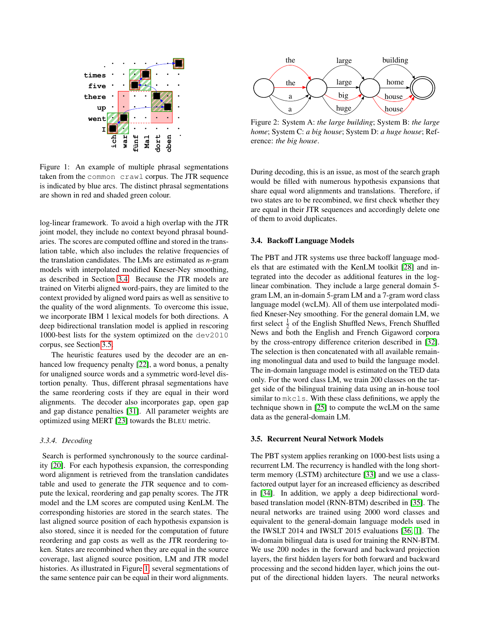

<span id="page-2-2"></span>Figure 1: An example of multiple phrasal segmentations taken from the common crawl corpus. The JTR sequence is indicated by blue arcs. The distinct phrasal segmentations are shown in red and shaded green colour.

log-linear framework. To avoid a high overlap with the JTR joint model, they include no context beyond phrasal boundaries. The scores are computed offline and stored in the translation table, which also includes the relative frequencies of the translation candidates. The LMs are estimated as *n*-gram models with interpolated modified Kneser-Ney smoothing, as described in Section [3.4.](#page-2-0) Because the JTR models are trained on Viterbi aligned word-pairs, they are limited to the context provided by aligned word pairs as well as sensitive to the quality of the word alignments. To overcome this issue, we incorporate IBM 1 lexical models for both directions. A deep bidirectional translation model is applied in rescoring 1000-best lists for the system optimized on the dev2010 corpus, see Section [3.5.](#page-2-1)

The heuristic features used by the decoder are an enhanced low frequency penalty [\[22\]](#page-5-9), a word bonus, a penalty for unaligned source words and a symmetric word-level distortion penalty. Thus, different phrasal segmentations have the same reordering costs if they are equal in their word alignments. The decoder also incorporates gap, open gap and gap distance penalties [\[31\]](#page-5-18). All parameter weights are optimized using MERT [\[23\]](#page-5-10) towards the BLEU metric.

### *3.3.4. Decoding*

Search is performed synchronously to the source cardinality [\[20\]](#page-5-7). For each hypothesis expansion, the corresponding word alignment is retrieved from the translation candidates table and used to generate the JTR sequence and to compute the lexical, reordering and gap penalty scores. The JTR model and the LM scores are computed using KenLM. The corresponding histories are stored in the search states. The last aligned source position of each hypothesis expansion is also stored, since it is needed for the computation of future reordering and gap costs as well as the JTR reordering token. States are recombined when they are equal in the source coverage, last aligned source position, LM and JTR model histories. As illustrated in Figure [1,](#page-2-2) several segmentations of the same sentence pair can be equal in their word alignments.



<span id="page-2-3"></span>Figure 2: System A: *the large building*; System B: *the large home*; System C: *a big house*; System D: *a huge house*; Reference: *the big house*.

During decoding, this is an issue, as most of the search graph would be filled with numerous hypothesis expansions that share equal word alignments and translations. Therefore, if two states are to be recombined, we first check whether they are equal in their JTR sequences and accordingly delete one of them to avoid duplicates.

#### <span id="page-2-0"></span>3.4. Backoff Language Models

The PBT and JTR systems use three backoff language models that are estimated with the KenLM toolkit [\[28\]](#page-5-15) and integrated into the decoder as additional features in the loglinear combination. They include a large general domain 5 gram LM, an in-domain 5-gram LM and a 7-gram word class language model (wcLM). All of them use interpolated modified Kneser-Ney smoothing. For the general domain LM, we first select  $\frac{1}{2}$  of the English Shuffled News, French Shuffled News and both the English and French Gigaword corpora by the cross-entropy difference criterion described in [\[32\]](#page-5-19). The selection is then concatenated with all available remaining monolingual data and used to build the language model. The in-domain language model is estimated on the TED data only. For the word class LM, we train 200 classes on the target side of the bilingual training data using an in-house tool similar to mkcls. With these class definitions, we apply the technique shown in [\[25\]](#page-5-12) to compute the wcLM on the same data as the general-domain LM.

## <span id="page-2-1"></span>3.5. Recurrent Neural Network Models

The PBT system applies reranking on 1000-best lists using a recurrent LM. The recurrency is handled with the long shortterm memory (LSTM) architecture [\[33\]](#page-5-20) and we use a classfactored output layer for an increased efficiency as described in [\[34\]](#page-6-0). In addition, we apply a deep bidirectional wordbased translation model (RNN-BTM) described in [\[35\]](#page-6-1). The neural networks are trained using 2000 word classes and equivalent to the general-domain language models used in the IWSLT 2014 and IWSLT 2015 evaluations [\[36,](#page-6-2) [1\]](#page-4-1). The in-domain bilingual data is used for training the RNN-BTM. We use 200 nodes in the forward and backward projection layers, the first hidden layers for both forward and backward processing and the second hidden layer, which joins the output of the directional hidden layers. The neural networks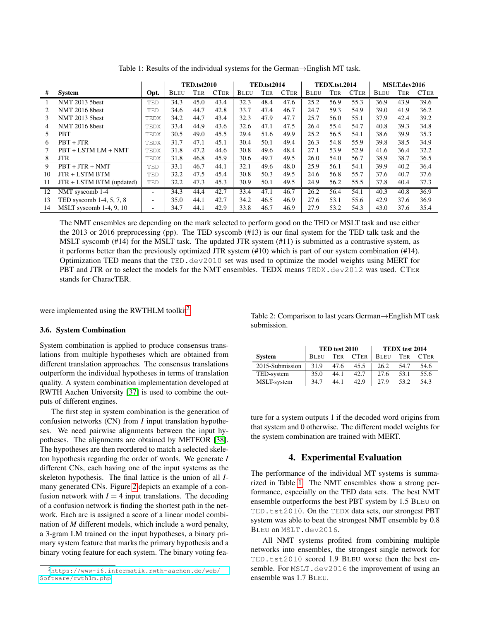|                             |                                 |                          | <b>TED.tst2010</b> |      | <b>TED.tst2014</b> |             |      | <b>TEDX.tst.2014</b> |             |      | MSLT.dev2016 |             |      |             |
|-----------------------------|---------------------------------|--------------------------|--------------------|------|--------------------|-------------|------|----------------------|-------------|------|--------------|-------------|------|-------------|
| #                           | <b>System</b>                   | Opt.                     | BLEU               | Ter  | <b>CTER</b>        | <b>BLEU</b> | TER  | <b>CTER</b>          | <b>BLEU</b> | Ter  | <b>CTER</b>  | <b>BLEU</b> | Ter  | <b>CTER</b> |
|                             | <b>NMT 2013 5best</b>           | TED                      | 34.3               | 45.0 | 43.4               | 32.3        | 48.4 | 47.6                 | 25.2        | 56.9 | 55.3         | 36.9        | 43.9 | 39.6        |
| $\mathcal{D}_{\mathcal{L}}$ | <b>NMT 2016 8best</b>           | TED                      | 34.6               | 44.7 | 42.8               | 33.7        | 47.4 | 46.7                 | 24.7        | 59.3 | 54.9         | 39.0        | 41.9 | 36.2        |
| 3                           | <b>NMT 2013 5best</b>           | TEDX                     | 34.2               | 44.7 | 43.4               | 32.3        | 47.9 | 47.7                 | 25.7        | 56.0 | 55.1         | 37.9        | 42.4 | 39.2        |
| 4                           | <b>NMT 2016 8best</b>           | TEDX                     | 33.4               | 44.9 | 43.6               | 32.6        | 47.1 | 47.5                 | 26.4        | 55.4 | 54.7         | 40.8        | 39.3 | 34.8        |
| 5                           | <b>PBT</b>                      | TEDX                     | 30.5               | 49.0 | 45.5               | 29.4        | 51.6 | 49.9                 | 25.2        | 56.5 | 54.1         | 38.6        | 39.9 | 35.3        |
| 6                           | $PBT + JTR$                     | TEDX                     | 31.7               | 47.1 | 45.1               | 30.4        | 50.1 | 49.4                 | 26.3        | 54.8 | 55.9         | 39.8        | 38.5 | 34.9        |
|                             | PBT + LSTM LM + NMT             | TEDX                     | 31.8               | 47.2 | 44.6               | 30.8        | 49.6 | 48.4                 | 27.1        | 53.9 | 52.9         | 41.6        | 36.4 | 32.2        |
| 8                           | JTR                             | TEDX                     | 31.8               | 46.8 | 45.9               | 30.6        | 49.7 | 49.5                 | 26.0        | 54.0 | 56.7         | 38.9        | 38.7 | 36.5        |
| 9                           | $PBT + JTR + NMT$               | TED                      | 33.1               | 46.7 | 44.1               | 32.1        | 49.6 | 48.0                 | 25.9        | 56.1 | 54.1         | 39.9        | 40.2 | 36.4        |
| 10                          | JTR + LSTM BTM                  | TED                      | 32.2               | 47.5 | 45.4               | 30.8        | 50.3 | 49.5                 | 24.6        | 56.8 | 55.7         | 37.6        | 40.7 | 37.6        |
| 11                          | JTR + LSTM BTM (updated)        | TED                      | 32.2               | 47.3 | 45.3               | 30.9        | 50.1 | 49.5                 | 24.9        | 56.2 | 55.5         | 37.8        | 40.4 | 37.3        |
| 12                          | NMT syscomb 1-4                 |                          | 34.3               | 44.4 | 42.7               | 33.4        | 47.1 | 46.7                 | 26.2        | 56.4 | 54.1         | 40.3        | 40.8 | 36.9        |
| 13                          | TED syscomb 1-4, 5, 7, 8        | $\overline{\phantom{0}}$ | 35.0               | 44.1 | 42.7               | 34.2        | 46.5 | 46.9                 | 27.6        | 53.1 | 55.6         | 42.9        | 37.6 | 36.9        |
| 14                          | MSLT syscomb $1-4$ , $9$ , $10$ | $\overline{\phantom{0}}$ | 34.7               | 44.1 | 42.9               | 33.8        | 46.7 | 46.9                 | 27.9        | 53.2 | 54.3         | 43.0        | 37.6 | 35.4        |

<span id="page-3-3"></span>Table 1: Results of the individual systems for the German→English MT task.

The NMT ensembles are depending on the mark selected to perform good on the TED or MSLT task and use either the 2013 or 2016 preprocessing (pp). The TED syscomb (#13) is our final system for the TED talk task and the MSLT syscomb (#14) for the MSLT task. The updated JTR system (#11) is submitted as a contrastive system, as it performs better than the previously optimized JTR system (#10) which is part of our system combination (#14). Optimization TED means that the TED.dev2010 set was used to optimize the model weights using MERT for PBT and JTR or to select the models for the NMT ensembles. TEDX means TEDX.dev2012 was used. CTER stands for CharacTER.

were implemented using the RWTHLM toolkit<sup>[2](#page-3-2)</sup>.

#### <span id="page-3-0"></span>3.6. System Combination

System combination is applied to produce consensus translations from multiple hypotheses which are obtained from different translation approaches. The consensus translations outperform the individual hypotheses in terms of translation quality. A system combination implementation developed at RWTH Aachen University [\[37\]](#page-6-3) is used to combine the outputs of different engines.

The first step in system combination is the generation of confusion networks (CN) from *I* input translation hypotheses. We need pairwise alignments between the input hypotheses. The alignments are obtained by METEOR [\[38\]](#page-6-4). The hypotheses are then reordered to match a selected skeleton hypothesis regarding the order of words. We generate *I* different CNs, each having one of the input systems as the skeleton hypothesis. The final lattice is the union of all *I*many generated CNs. Figure [2](#page-2-3) depicts an example of a confusion network with  $I = 4$  input translations. The decoding of a confusion network is finding the shortest path in the network. Each arc is assigned a score of a linear model combination of *M* different models, which include a word penalty, a 3-gram LM trained on the input hypotheses, a binary primary system feature that marks the primary hypothesis and a binary voting feature for each system. The binary voting fea<span id="page-3-4"></span>Table 2: Comparison to last years German→English MT task submission.

|                 |             | TED test 2010 |             | TEDX test 2014 |      |             |  |  |
|-----------------|-------------|---------------|-------------|----------------|------|-------------|--|--|
| <b>System</b>   | <b>BLEU</b> | TER           | <b>CTER</b> | <b>BLEU</b>    | TER  | <b>CTER</b> |  |  |
| 2015-Submission | 31.9        | 47.6          | 45.5        | 26.2           | 54.7 | 54.6        |  |  |
| TED-system      | 35.0        | 44.1          | 42.7        | 27.6           | 53.1 | 55.6        |  |  |
| MSLT-system     | 34.7        | 44.1          | 42.9        | 27.9           | 53.2 | 54.3        |  |  |

ture for a system outputs 1 if the decoded word origins from that system and 0 otherwise. The different model weights for the system combination are trained with MERT.

## 4. Experimental Evaluation

<span id="page-3-1"></span>The performance of the individual MT systems is summarized in Table [1.](#page-3-3) The NMT ensembles show a strong performance, especially on the TED data sets. The best NMT ensemble outperforms the best PBT system by 1.5 BLEU on TED.tst2010. On the TEDX data sets, our strongest PBT system was able to beat the strongest NMT ensemble by 0.8 BLEU on MSLT.dev2016.

All NMT systems profited from combining multiple networks into ensembles, the strongest single network for TED.tst2010 scored 1.9 BLEU worse then the best ensemble. For MSLT.dev2016 the improvement of using an ensemble was 1.7 BLEU.

<span id="page-3-2"></span><sup>2</sup>[https://www-i6.informatik.rwth-aachen.de/web/](https://www-i6.informatik.rwth-aachen.de/web/Software/rwthlm.php) [Software/rwthlm.php](https://www-i6.informatik.rwth-aachen.de/web/Software/rwthlm.php)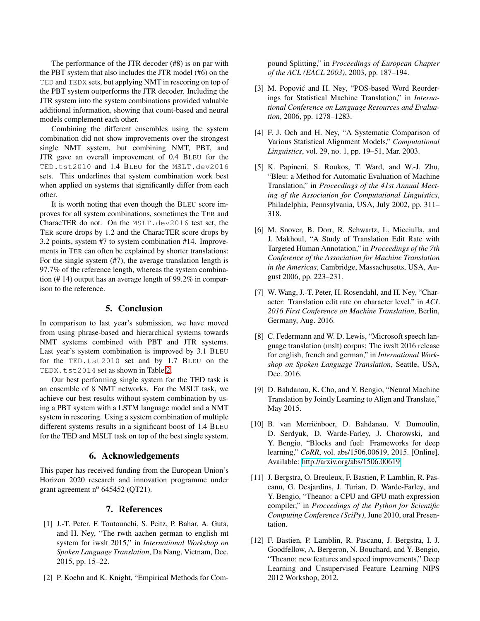The performance of the JTR decoder (#8) is on par with the PBT system that also includes the JTR model (#6) on the TED and TEDX sets, but applying NMT in rescoring on top of the PBT system outperforms the JTR decoder. Including the JTR system into the system combinations provided valuable additional information, showing that count-based and neural models complement each other.

Combining the different ensembles using the system combination did not show improvements over the strongest single NMT system, but combining NMT, PBT, and JTR gave an overall improvement of 0.4 BLEU for the TED.tst2010 and 1.4 BLEU for the MSLT.dev2016 sets. This underlines that system combination work best when applied on systems that significantly differ from each other.

It is worth noting that even though the BLEU score improves for all system combinations, sometimes the TER and CharacTER do not. On the MSLT.dev2016 test set, the TER score drops by 1.2 and the CharacTER score drops by 3.2 points, system #7 to system combination #14. Improvements in TER can often be explained by shorter translations: For the single system (#7), the average translation length is 97.7% of the reference length, whereas the system combination (# 14) output has an average length of 99.2% in comparison to the reference.

# 5. Conclusion

<span id="page-4-0"></span>In comparison to last year's submission, we have moved from using phrase-based and hierarchical systems towards NMT systems combined with PBT and JTR systems. Last year's system combination is improved by 3.1 BLEU for the TED.tst2010 set and by 1.7 BLEU on the TEDX.tst2014 set as shown in Table [2.](#page-3-4)

Our best performing single system for the TED task is an ensemble of 8 NMT networks. For the MSLT task, we achieve our best results without system combination by using a PBT system with a LSTM language model and a NMT system in rescoring. Using a system combination of multiple different systems results in a significant boost of 1.4 BLEU for the TED and MSLT task on top of the best single system.

# 6. Acknowledgements

This paper has received funding from the European Union's Horizon 2020 research and innovation programme under grant agreement  $n^{\circ}$  645452 (QT21).

## 7. References

- <span id="page-4-1"></span>[1] J.-T. Peter, F. Toutounchi, S. Peitz, P. Bahar, A. Guta, and H. Ney, "The rwth aachen german to english mt system for iwslt 2015," in *International Workshop on Spoken Language Translation*, Da Nang, Vietnam, Dec. 2015, pp. 15–22.
- <span id="page-4-2"></span>[2] P. Koehn and K. Knight, "Empirical Methods for Com-

pound Splitting," in *Proceedings of European Chapter of the ACL (EACL 2003)*, 2003, pp. 187–194.

- <span id="page-4-3"></span>[3] M. Popović and H. Ney, "POS-based Word Reorderings for Statistical Machine Translation," in *International Conference on Language Resources and Evaluation*, 2006, pp. 1278–1283.
- <span id="page-4-4"></span>[4] F. J. Och and H. Ney, "A Systematic Comparison of Various Statistical Alignment Models," *Computational Linguistics*, vol. 29, no. 1, pp. 19–51, Mar. 2003.
- <span id="page-4-5"></span>[5] K. Papineni, S. Roukos, T. Ward, and W.-J. Zhu, "Bleu: a Method for Automatic Evaluation of Machine Translation," in *Proceedings of the 41st Annual Meeting of the Association for Computational Linguistics*, Philadelphia, Pennsylvania, USA, July 2002, pp. 311– 318.
- <span id="page-4-6"></span>[6] M. Snover, B. Dorr, R. Schwartz, L. Micciulla, and J. Makhoul, "A Study of Translation Edit Rate with Targeted Human Annotation," in *Proceedings of the 7th Conference of the Association for Machine Translation in the Americas*, Cambridge, Massachusetts, USA, August 2006, pp. 223–231.
- <span id="page-4-7"></span>[7] W. Wang, J.-T. Peter, H. Rosendahl, and H. Ney, "Character: Translation edit rate on character level," in *ACL 2016 First Conference on Machine Translation*, Berlin, Germany, Aug. 2016.
- <span id="page-4-8"></span>[8] C. Federmann and W. D. Lewis, "Microsoft speech language translation (mslt) corpus: The iwslt 2016 release for english, french and german," in *International Workshop on Spoken Language Translation*, Seattle, USA, Dec. 2016.
- <span id="page-4-9"></span>[9] D. Bahdanau, K. Cho, and Y. Bengio, "Neural Machine Translation by Jointly Learning to Align and Translate," May 2015.
- <span id="page-4-10"></span>[10] B. van Merriënboer, D. Bahdanau, V. Dumoulin, D. Serdyuk, D. Warde-Farley, J. Chorowski, and Y. Bengio, "Blocks and fuel: Frameworks for deep learning," *CoRR*, vol. abs/1506.00619, 2015. [Online]. Available:<http://arxiv.org/abs/1506.00619>
- <span id="page-4-11"></span>[11] J. Bergstra, O. Breuleux, F. Bastien, P. Lamblin, R. Pascanu, G. Desjardins, J. Turian, D. Warde-Farley, and Y. Bengio, "Theano: a CPU and GPU math expression compiler," in *Proceedings of the Python for Scientific Computing Conference (SciPy)*, June 2010, oral Presentation.
- <span id="page-4-12"></span>[12] F. Bastien, P. Lamblin, R. Pascanu, J. Bergstra, I. J. Goodfellow, A. Bergeron, N. Bouchard, and Y. Bengio, "Theano: new features and speed improvements," Deep Learning and Unsupervised Feature Learning NIPS 2012 Workshop, 2012.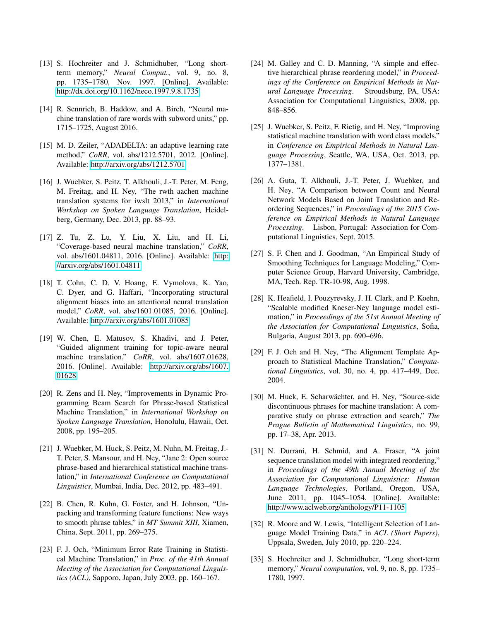- <span id="page-5-0"></span>[13] S. Hochreiter and J. Schmidhuber, "Long shortterm memory," *Neural Comput.*, vol. 9, no. 8, pp. 1735–1780, Nov. 1997. [Online]. Available: <http://dx.doi.org/10.1162/neco.1997.9.8.1735>
- <span id="page-5-1"></span>[14] R. Sennrich, B. Haddow, and A. Birch, "Neural machine translation of rare words with subword units," pp. 1715–1725, August 2016.
- <span id="page-5-2"></span>[15] M. D. Zeiler, "ADADELTA: an adaptive learning rate method," *CoRR*, vol. abs/1212.5701, 2012. [Online]. Available:<http://arxiv.org/abs/1212.5701>
- <span id="page-5-3"></span>[16] J. Wuebker, S. Peitz, T. Alkhouli, J.-T. Peter, M. Feng, M. Freitag, and H. Ney, "The rwth aachen machine translation systems for iwslt 2013," in *International Workshop on Spoken Language Translation*, Heidelberg, Germany, Dec. 2013, pp. 88–93.
- <span id="page-5-4"></span>[17] Z. Tu, Z. Lu, Y. Liu, X. Liu, and H. Li, "Coverage-based neural machine translation," *CoRR*, vol. abs/1601.04811, 2016. [Online]. Available: [http:](http://arxiv.org/abs/1601.04811) [//arxiv.org/abs/1601.04811](http://arxiv.org/abs/1601.04811)
- <span id="page-5-5"></span>[18] T. Cohn, C. D. V. Hoang, E. Vymolova, K. Yao, C. Dyer, and G. Haffari, "Incorporating structural alignment biases into an attentional neural translation model," *CoRR*, vol. abs/1601.01085, 2016. [Online]. Available:<http://arxiv.org/abs/1601.01085>
- <span id="page-5-6"></span>[19] W. Chen, E. Matusov, S. Khadivi, and J. Peter, "Guided alignment training for topic-aware neural machine translation," *CoRR*, vol. abs/1607.01628, 2016. [Online]. Available: [http://arxiv.org/abs/1607.](http://arxiv.org/abs/1607.01628) [01628](http://arxiv.org/abs/1607.01628)
- <span id="page-5-7"></span>[20] R. Zens and H. Ney, "Improvements in Dynamic Programming Beam Search for Phrase-based Statistical Machine Translation," in *International Workshop on Spoken Language Translation*, Honolulu, Hawaii, Oct. 2008, pp. 195–205.
- <span id="page-5-8"></span>[21] J. Wuebker, M. Huck, S. Peitz, M. Nuhn, M. Freitag, J.- T. Peter, S. Mansour, and H. Ney, "Jane 2: Open source phrase-based and hierarchical statistical machine translation," in *International Conference on Computational Linguistics*, Mumbai, India, Dec. 2012, pp. 483–491.
- <span id="page-5-9"></span>[22] B. Chen, R. Kuhn, G. Foster, and H. Johnson, "Unpacking and transforming feature functions: New ways to smooth phrase tables," in *MT Summit XIII*, Xiamen, China, Sept. 2011, pp. 269–275.
- <span id="page-5-10"></span>[23] F. J. Och, "Minimum Error Rate Training in Statistical Machine Translation," in *Proc. of the 41th Annual Meeting of the Association for Computational Linguistics (ACL)*, Sapporo, Japan, July 2003, pp. 160–167.
- <span id="page-5-11"></span>[24] M. Galley and C. D. Manning, "A simple and effective hierarchical phrase reordering model," in *Proceedings of the Conference on Empirical Methods in Natural Language Processing*. Stroudsburg, PA, USA: Association for Computational Linguistics, 2008, pp. 848–856.
- <span id="page-5-12"></span>[25] J. Wuebker, S. Peitz, F. Rietig, and H. Ney, "Improving statistical machine translation with word class models," in *Conference on Empirical Methods in Natural Language Processing*, Seattle, WA, USA, Oct. 2013, pp. 1377–1381.
- <span id="page-5-13"></span>[26] A. Guta, T. Alkhouli, J.-T. Peter, J. Wuebker, and H. Ney, "A Comparison between Count and Neural Network Models Based on Joint Translation and Reordering Sequences," in *Proceedings of the 2015 Conference on Empirical Methods in Natural Language Processing*. Lisbon, Portugal: Association for Computational Linguistics, Sept. 2015.
- <span id="page-5-14"></span>[27] S. F. Chen and J. Goodman, "An Empirical Study of Smoothing Techniques for Language Modeling," Computer Science Group, Harvard University, Cambridge, MA, Tech. Rep. TR-10-98, Aug. 1998.
- <span id="page-5-15"></span>[28] K. Heafield, I. Pouzyrevsky, J. H. Clark, and P. Koehn, "Scalable modified Kneser-Ney language model estimation," in *Proceedings of the 51st Annual Meeting of the Association for Computational Linguistics*, Sofia, Bulgaria, August 2013, pp. 690–696.
- <span id="page-5-16"></span>[29] F. J. Och and H. Ney, "The Alignment Template Approach to Statistical Machine Translation," *Computational Linguistics*, vol. 30, no. 4, pp. 417–449, Dec. 2004.
- <span id="page-5-17"></span>[30] M. Huck, E. Scharwächter, and H. Ney, "Source-side discontinuous phrases for machine translation: A comparative study on phrase extraction and search," *The Prague Bulletin of Mathematical Linguistics*, no. 99, pp. 17–38, Apr. 2013.
- <span id="page-5-18"></span>[31] N. Durrani, H. Schmid, and A. Fraser, "A joint sequence translation model with integrated reordering," in *Proceedings of the 49th Annual Meeting of the Association for Computational Linguistics: Human Language Technologies*, Portland, Oregon, USA, June 2011, pp. 1045–1054. [Online]. Available: <http://www.aclweb.org/anthology/P11-1105>
- <span id="page-5-19"></span>[32] R. Moore and W. Lewis, "Intelligent Selection of Language Model Training Data," in *ACL (Short Papers)*, Uppsala, Sweden, July 2010, pp. 220–224.
- <span id="page-5-20"></span>[33] S. Hochreiter and J. Schmidhuber, "Long short-term" memory," *Neural computation*, vol. 9, no. 8, pp. 1735– 1780, 1997.